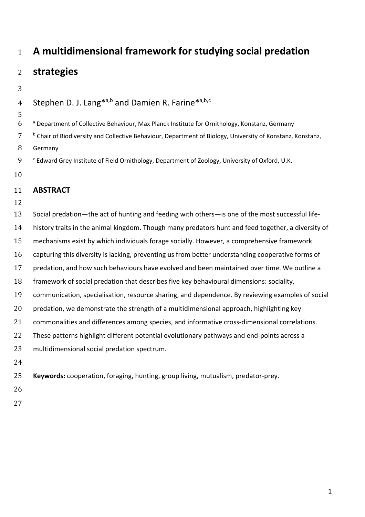# **A multidimensional framework for studying social predation**

## **strategies**

4 Stephen D. J. Lang<sup>\*a,b</sup> and Damien R. Farine<sup>\*a,b,c</sup>

- <sup>a</sup> Department of Collective Behaviour, Max Planck Institute for Ornithology, Konstanz, Germany
- <sup>b</sup> Chair of Biodiversity and Collective Behaviour, Department of Biology, University of Konstanz, Konstanz,
- Germany
- 9 <sup>c</sup> Edward Grey Institute of Field Ornithology, Department of Zoology, University of Oxford, U.K.
- 

### **ABSTRACT**

- 
- Social predation—the act of hunting and feeding with others—is one of the most successful life- history traits in the animal kingdom. Though many predators hunt and feed together, a diversity of mechanisms exist by which individuals forage socially. However, a comprehensive framework capturing this diversity is lacking, preventing us from better understanding cooperative forms of predation, and how such behaviours have evolved and been maintained over time. We outline a framework of social predation that describes five key behavioural dimensions: sociality, communication, specialisation, resource sharing, and dependence. By reviewing examples of social predation, we demonstrate the strength of a multidimensional approach, highlighting key commonalities and differences among species, and informative cross-dimensional correlations. 22 These patterns highlight different potential evolutionary pathways and end-points across a multidimensional social predation spectrum.

**Keywords:** cooperation, foraging, hunting, group living, mutualism, predator-prey.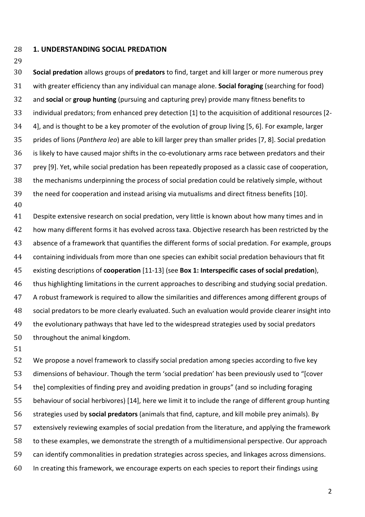#### **1. UNDERSTANDING SOCIAL PREDATION**

 **Social predation** allows groups of **predators** to find, target and kill larger or more numerous prey with greater efficiency than any individual can manage alone. **Social foraging** (searching for food) and **social** or **group hunting** (pursuing and capturing prey) provide many fitness benefits to individual predators; from enhanced prey detection [1] to the acquisition of additional resources [2- 4], and is thought to be a key promoter of the evolution of group living [5, 6]. For example, larger prides of lions (*Panthera leo*) are able to kill larger prey than smaller prides [7, 8]. Social predation is likely to have caused major shifts in the co-evolutionary arms race between predators and their prey [9]. Yet, while social predation has been repeatedly proposed as a classic case of cooperation, the mechanisms underpinning the process of social predation could be relatively simple, without the need for cooperation and instead arising via mutualisms and direct fitness benefits [10]. 

 Despite extensive research on social predation, very little is known about how many times and in how many different forms it has evolved across taxa. Objective research has been restricted by the absence of a framework that quantifies the different forms of social predation. For example, groups containing individuals from more than one species can exhibit social predation behaviours that fit existing descriptions of **cooperation** [11-13] (see **Box 1: Interspecific cases of social predation**), thus highlighting limitations in the current approaches to describing and studying social predation. A robust framework is required to allow the similarities and differences among different groups of social predators to be more clearly evaluated. Such an evaluation would provide clearer insight into 49 the evolutionary pathways that have led to the widespread strategies used by social predators throughout the animal kingdom.

 We propose a novel framework to classify social predation among species according to five key dimensions of behaviour. Though the term 'social predation' has been previously used to "[cover the] complexities of finding prey and avoiding predation in groups" (and so including foraging behaviour of social herbivores) [14], here we limit it to include the range of different group hunting strategies used by **social predators** (animals that find, capture, and kill mobile prey animals). By extensively reviewing examples of social predation from the literature, and applying the framework to these examples, we demonstrate the strength of a multidimensional perspective. Our approach can identify commonalities in predation strategies across species, and linkages across dimensions. In creating this framework, we encourage experts on each species to report their findings using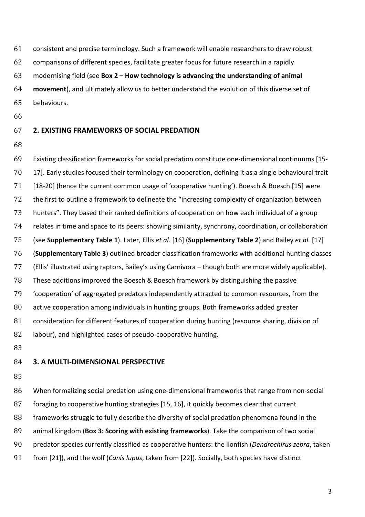consistent and precise terminology. Such a framework will enable researchers to draw robust

comparisons of different species, facilitate greater focus for future research in a rapidly

modernising field (see **Box 2 – How technology is advancing the understanding of animal** 

 **movement**), and ultimately allow us to better understand the evolution of this diverse set of behaviours.

#### **2. EXISTING FRAMEWORKS OF SOCIAL PREDATION**

 Existing classification frameworks for social predation constitute one-dimensional continuums [15- 17]. Early studies focused their terminology on cooperation, defining it as a single behavioural trait [18-20] (hence the current common usage of 'cooperative hunting'). Boesch & Boesch [15] were the first to outline a framework to delineate the "increasing complexity of organization between hunters". They based their ranked definitions of cooperation on how each individual of a group relates in time and space to its peers: showing similarity, synchrony, coordination, or collaboration (see **Supplementary Table 1**). Later, Ellis *et al.* [16] (**Supplementary Table 2**) and Bailey *et al.* [17] (**Supplementary Table 3**) outlined broader classification frameworks with additional hunting classes (Ellis' illustrated using raptors, Bailey's using Carnivora – though both are more widely applicable). These additions improved the Boesch & Boesch framework by distinguishing the passive 'cooperation' of aggregated predators independently attracted to common resources, from the active cooperation among individuals in hunting groups. Both frameworks added greater 81 consideration for different features of cooperation during hunting (resource sharing, division of labour), and highlighted cases of pseudo-cooperative hunting.

#### **3. A MULTI-DIMENSIONAL PERSPECTIVE**

 When formalizing social predation using one-dimensional frameworks that range from non-social foraging to cooperative hunting strategies [15, 16], it quickly becomes clear that current frameworks struggle to fully describe the diversity of social predation phenomena found in the animal kingdom (**Box 3: Scoring with existing frameworks**). Take the comparison of two social predator species currently classified as cooperative hunters: the lionfish (*Dendrochirus zebra*, taken from [21]), and the wolf (*Canis lupus*, taken from [22]). Socially, both species have distinct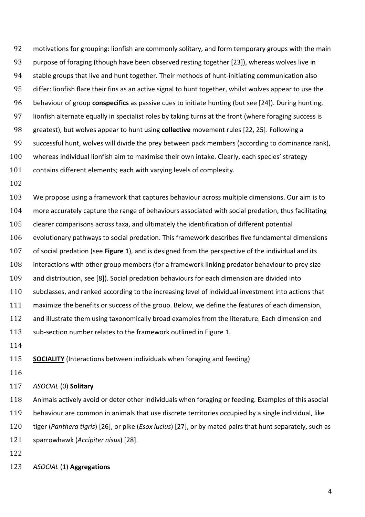motivations for grouping: lionfish are commonly solitary, and form temporary groups with the main purpose of foraging (though have been observed resting together [23]), whereas wolves live in stable groups that live and hunt together. Their methods of hunt-initiating communication also differ: lionfish flare their fins as an active signal to hunt together, whilst wolves appear to use the behaviour of group **conspecifics** as passive cues to initiate hunting (but see [24]). During hunting, lionfish alternate equally in specialist roles by taking turns at the front (where foraging success is greatest), but wolves appear to hunt using **collective** movement rules [22, 25]. Following a successful hunt, wolves will divide the prey between pack members (according to dominance rank), whereas individual lionfish aim to maximise their own intake. Clearly, each species' strategy contains different elements; each with varying levels of complexity.

 We propose using a framework that captures behaviour across multiple dimensions. Our aim is to more accurately capture the range of behaviours associated with social predation, thus facilitating clearer comparisons across taxa, and ultimately the identification of different potential evolutionary pathways to social predation. This framework describes five fundamental dimensions of social predation (see **Figure 1**), and is designed from the perspective of the individual and its interactions with other group members (for a framework linking predator behaviour to prey size and distribution, see [8]). Social predation behaviours for each dimension are divided into subclasses, and ranked according to the increasing level of individual investment into actions that maximize the benefits or success of the group. Below, we define the features of each dimension, 112 and illustrate them using taxonomically broad examples from the literature. Each dimension and sub-section number relates to the framework outlined in Figure 1.

**SOCIALITY** (Interactions between individuals when foraging and feeding)

#### *ASOCIAL* (0) **Solitary**

 Animals actively avoid or deter other individuals when foraging or feeding. Examples of this asocial behaviour are common in animals that use discrete territories occupied by a single individual, like tiger (*Panthera tigris*) [26], or pike (*Esox lucius*) [27], or by mated pairs that hunt separately, such as sparrowhawk (*Accipiter nisus*) [28].

- 
- *ASOCIAL* (1) **Aggregations**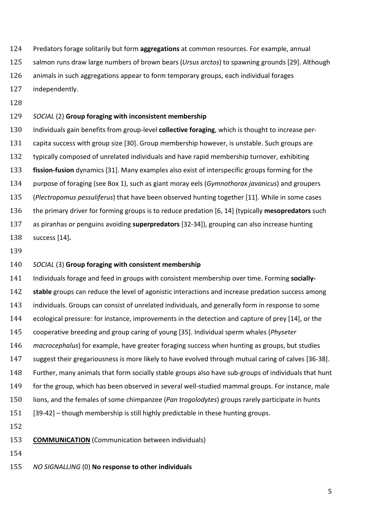- Predators forage solitarily but form **aggregations** at common resources. For example, annual
- salmon runs draw large numbers of brown bears (*Ursus arctos*) to spawning grounds [29]. Although
- animals in such aggregations appear to form temporary groups, each individual forages
- independently.
- 

#### *SOCIAL* (2) **Group foraging with inconsistent membership**

 Individuals gain benefits from group-level **collective foraging**, which is thought to increase per- capita success with group size [30]. Group membership however, is unstable. Such groups are typically composed of unrelated individuals and have rapid membership turnover, exhibiting **fission-fusion** dynamics [31]. Many examples also exist of interspecific groups forming for the purpose of foraging (see Box 1), such as giant moray eels (*Gymnothorax javanicus*) and groupers (*Plectropomus pessuliferus*) that have been observed hunting together [11]. While in some cases the primary driver for forming groups is to reduce predation [6, 14] (typically **mesopredators** such as piranhas or penguins avoiding **superpredators** [32-34]), grouping can also increase hunting success [14]**.**

#### *SOCIAL* (3) **Group foraging with consistent membership**

 Individuals forage and feed in groups with consistent membership over time. Forming **socially- stable** groups can reduce the level of agonistic interactions and increase predation success among individuals. Groups can consist of unrelated individuals, and generally form in response to some ecological pressure: for instance, improvements in the detection and capture of prey [14], or the cooperative breeding and group caring of young [35]. Individual sperm whales (*Physeter macrocephalus*) for example, have greater foraging success when hunting as groups, but studies suggest their gregariousness is more likely to have evolved through mutual caring of calves [36-38]. Further, many animals that form socially stable groups also have sub-groups of individuals that hunt for the group, which has been observed in several well-studied mammal groups. For instance, male lions, and the females of some chimpanzee (*Pan trogolodytes*) groups rarely participate in hunts [39-42] – though membership is still highly predictable in these hunting groups.

- 
- **COMMUNICATION** (Communication between individuals)
- 
- *NO SIGNALLING* (0) **No response to other individuals**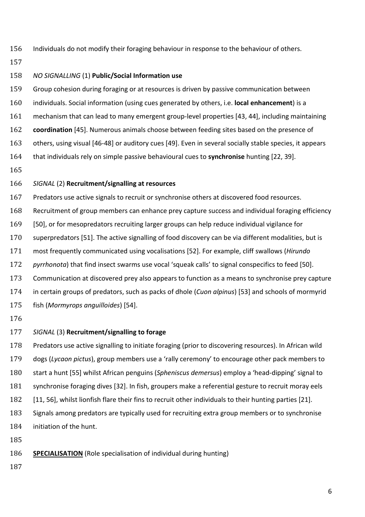- Individuals do not modify their foraging behaviour in response to the behaviour of others.
- 

#### *NO SIGNALLING* (1) **Public/Social Information use**

 Group cohesion during foraging or at resources is driven by passive communication between individuals. Social information (using cues generated by others, i.e. **local enhancement**) is a mechanism that can lead to many emergent group-level properties [43, 44], including maintaining **coordination** [45]. Numerous animals choose between feeding sites based on the presence of others, using visual [46-48] or auditory cues [49]. Even in several socially stable species, it appears that individuals rely on simple passive behavioural cues to **synchronise** hunting [22, 39].

#### *SIGNAL* (2) **Recruitment/signalling at resources**

 Predators use active signals to recruit or synchronise others at discovered food resources. Recruitment of group members can enhance prey capture success and individual foraging efficiency [50], or for mesopredators recruiting larger groups can help reduce individual vigilance for superpredators [51]. The active signalling of food discovery can be via different modalities, but is most frequently communicated using vocalisations [52]. For example, cliff swallows (*Hirundo pyrrhonota*) that find insect swarms use vocal 'squeak calls' to signal conspecifics to feed [50]. Communication at discovered prey also appears to function as a means to synchronise prey capture in certain groups of predators, such as packs of dhole (*Cuon alpinus*) [53] and schools of mormyrid fish (*Mormyrops anguilloides*) [54].

#### *SIGNAL* (3) **Recruitment/signalling to forage**

 Predators use active signalling to initiate foraging (prior to discovering resources). In African wild dogs (*Lycaon pictus*), group members use a 'rally ceremony' to encourage other pack members to start a hunt [55] whilst African penguins (*Spheniscus demersus*) employ a 'head-dipping' signal to synchronise foraging dives [32]. In fish, groupers make a referential gesture to recruit moray eels [11, 56], whilst lionfish flare their fins to recruit other individuals to their hunting parties [21]. Signals among predators are typically used for recruiting extra group members or to synchronise

- initiation of the hunt.
- 
- **SPECIALISATION** (Role specialisation of individual during hunting)
-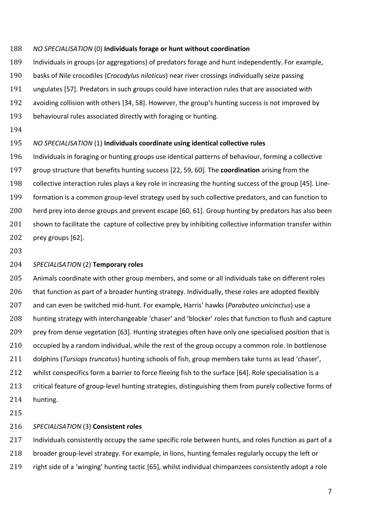#### *NO SPECIALISATION* (0) **Individuals forage or hunt without coordination**

Individuals in groups (or aggregations) of predators forage and hunt independently. For example,

- basks of Nile crocodiles (*Crocodylus niloticus*) near river crossings individually seize passing
- ungulates [57]. Predators in such groups could have interaction rules that are associated with
- avoiding collision with others [34, 58]. However, the group's hunting success is not improved by
- behavioural rules associated directly with foraging or hunting.
- 

#### *NO SPECIALISATION* (1) **Individuals coordinate using identical collective rules**

 Individuals in foraging or hunting groups use identical patterns of behaviour, forming a collective group structure that benefits hunting success [22, 59, 60]. The **coordination** arising from the collective interaction rules plays a key role in increasing the hunting success of the group [45]. Line- formation is a common group-level strategy used by such collective predators, and can function to herd prey into dense groups and prevent escape [60, 61]. Group hunting by predators has also been 201 shown to facilitate the capture of collective prey by inhibiting collective information transfer within prey groups [62].

#### *SPECIALISATION* (2) **Temporary roles**

 Animals coordinate with other group members, and some or all individuals take on different roles 206 that function as part of a broader hunting strategy. Individually, these roles are adopted flexibly and can even be switched mid-hunt. For example, Harris' hawks (*Parabuteo unicinctus*) use a hunting strategy with interchangeable 'chaser' and 'blocker' roles that function to flush and capture prey from dense vegetation [63]. Hunting strategies often have only one specialised position that is 210 occupied by a random individual, while the rest of the group occupy a common role. In bottlenose dolphins (*Tursiops truncatus*) hunting schools of fish, group members take turns as lead 'chaser', 212 whilst conspecifics form a barrier to force fleeing fish to the surface [64]. Role specialisation is a 213 critical feature of group-level hunting strategies, distinguishing them from purely collective forms of hunting.

#### *SPECIALISATION* (3) **Consistent roles**

217 Individuals consistently occupy the same specific role between hunts, and roles function as part of a broader group-level strategy. For example, in lions, hunting females regularly occupy the left or right side of a 'winging' hunting tactic [65], whilst individual chimpanzees consistently adopt a role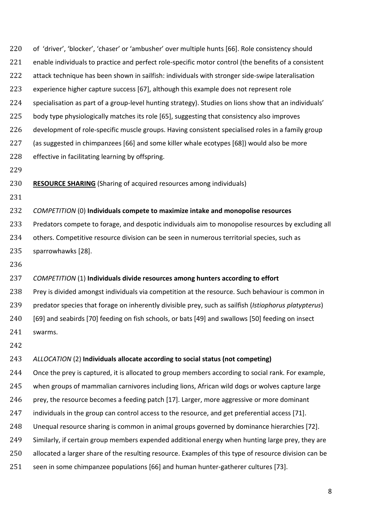of 'driver', 'blocker', 'chaser' or 'ambusher' over multiple hunts [66]. Role consistency should enable individuals to practice and perfect role-specific motor control (the benefits of a consistent attack technique has been shown in sailfish: individuals with stronger side-swipe lateralisation experience higher capture success [67], although this example does not represent role specialisation as part of a group-level hunting strategy). Studies on lions show that an individuals' 225 body type physiologically matches its role [65], suggesting that consistency also improves development of role-specific muscle groups. Having consistent specialised roles in a family group (as suggested in chimpanzees [66] and some killer whale ecotypes [68]) would also be more effective in facilitating learning by offspring.

**RESOURCE SHARING** (Sharing of acquired resources among individuals)

*COMPETITION* (0) **Individuals compete to maximize intake and monopolise resources**

 Predators compete to forage, and despotic individuals aim to monopolise resources by excluding all 234 others. Competitive resource division can be seen in numerous territorial species, such as sparrowhawks [28].

#### *COMPETITION* (1) **Individuals divide resources among hunters according to effort**

 Prey is divided amongst individuals via competition at the resource. Such behaviour is common in predator species that forage on inherently divisible prey, such as sailfish (*Istiophorus platypterus*) [69] and seabirds [70] feeding on fish schools, or bats [49] and swallows [50] feeding on insect swarms.

#### *ALLOCATION* (2) **Individuals allocate according to social status (not competing)**

Once the prey is captured, it is allocated to group members according to social rank. For example,

when groups of mammalian carnivores including lions, African wild dogs or wolves capture large

246 prey, the resource becomes a feeding patch [17]. Larger, more aggressive or more dominant

247 individuals in the group can control access to the resource, and get preferential access [71].

Unequal resource sharing is common in animal groups governed by dominance hierarchies [72].

Similarly, if certain group members expended additional energy when hunting large prey, they are

250 allocated a larger share of the resulting resource. Examples of this type of resource division can be

seen in some chimpanzee populations [66] and human hunter-gatherer cultures [73].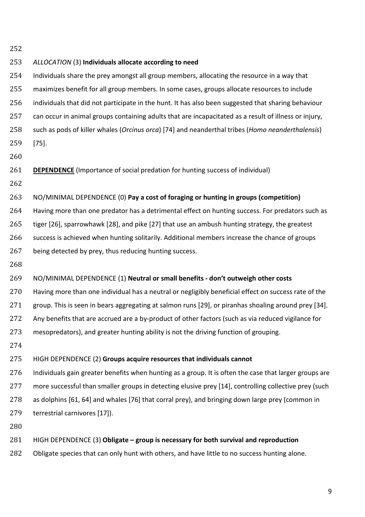*ALLOCATION* (3) **Individuals allocate according to need** Individuals share the prey amongst all group members, allocating the resource in a way that maximizes benefit for all group members. In some cases, groups allocate resources to include individuals that did not participate in the hunt. It has also been suggested that sharing behaviour can occur in animal groups containing adults that are incapacitated as a result of illness or injury, such as pods of killer whales (*Orcinus orca*) [74] and neanderthal tribes (*Homo neanderthalensis*) [75]. **DEPENDENCE** (Importance of social predation for hunting success of individual) NO/MINIMAL DEPENDENCE (0) **Pay a cost of foraging or hunting in groups (competition)** Having more than one predator has a detrimental effect on hunting success. For predators such as tiger [26], sparrowhawk [28], and pike [27] that use an ambush hunting strategy, the greatest success is achieved when hunting solitarily. Additional members increase the chance of groups being detected by prey, thus reducing hunting success. NO/MINIMAL DEPENDENCE (1) **Neutral or small benefits - don't outweigh other costs** Having more than one individual has a neutral or negligibly beneficial effect on success rate of the group. This is seen in bears aggregating at salmon runs [29], or piranhas shoaling around prey [34]. Any benefits that are accrued are a by-product of other factors (such as via reduced vigilance for mesopredators), and greater hunting ability is not the driving function of grouping. HIGH DEPENDENCE (2) **Groups acquire resources that individuals cannot** Individuals gain greater benefits when hunting as a group. It is often the case that larger groups are 277 more successful than smaller groups in detecting elusive prey [14], controlling collective prey (such as dolphins [61, 64] and whales [76] that corral prey), and bringing down large prey (common in terrestrial carnivores [17]). HIGH DEPENDENCE (3) **Obligate – group is necessary for both survival and reproduction** 282 Obligate species that can only hunt with others, and have little to no success hunting alone.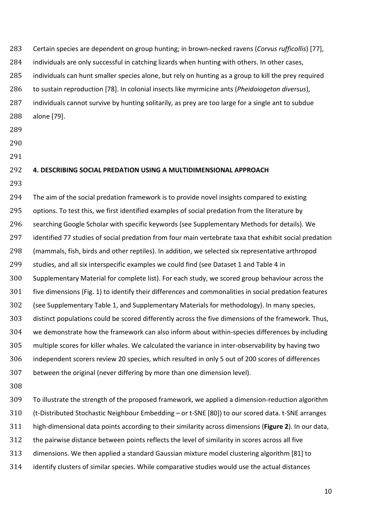Certain species are dependent on group hunting; in brown-necked ravens (*Corvus rufficollis*) [77], individuals are only successful in catching lizards when hunting with others. In other cases, individuals can hunt smaller species alone, but rely on hunting as a group to kill the prey required to sustain reproduction [78]. In colonial insects like myrmicine ants (*Pheidoiogeton diversus*), individuals cannot survive by hunting solitarily, as prey are too large for a single ant to subdue

- alone [79].
- 
- 
- 

#### **4. DESCRIBING SOCIAL PREDATION USING A MULTIDIMENSIONAL APPROACH**

294 The aim of the social predation framework is to provide novel insights compared to existing 295 options. To test this, we first identified examples of social predation from the literature by searching Google Scholar with specific keywords (see Supplementary Methods for details). We identified 77 studies of social predation from four main vertebrate taxa that exhibit social predation (mammals, fish, birds and other reptiles). In addition, we selected six representative arthropod studies, and all six interspecific examples we could find (see Dataset 1 and Table 4 in Supplementary Material for complete list). For each study, we scored group behaviour across the five dimensions (Fig. 1) to identify their differences and commonalities in social predation features (see Supplementary Table 1, and Supplementary Materials for methodology). In many species, distinct populations could be scored differently across the five dimensions of the framework. Thus, we demonstrate how the framework can also inform about within-species differences by including multiple scores for killer whales. We calculated the variance in inter-observability by having two independent scorers review 20 species, which resulted in only 5 out of 200 scores of differences between the original (never differing by more than one dimension level).

 To illustrate the strength of the proposed framework, we applied a dimension-reduction algorithm (t-Distributed Stochastic Neighbour Embedding – or t-SNE [80]) to our scored data. t-SNE arranges high-dimensional data points according to their similarity across dimensions (**Figure 2**). In our data, the pairwise distance between points reflects the level of similarity in scores across all five dimensions. We then applied a standard Gaussian mixture model clustering algorithm [81] to identify clusters of similar species. While comparative studies would use the actual distances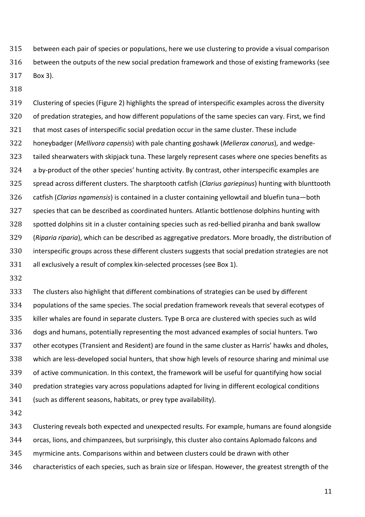between each pair of species or populations, here we use clustering to provide a visual comparison between the outputs of the new social predation framework and those of existing frameworks (see Box 3).

 Clustering of species (Figure 2) highlights the spread of interspecific examples across the diversity of predation strategies, and how different populations of the same species can vary. First, we find that most cases of interspecific social predation occur in the same cluster. These include honeybadger (*Mellivora capensis*) with pale chanting goshawk (*Melierax canorus*), and wedge- tailed shearwaters with skipjack tuna. These largely represent cases where one species benefits as a by-product of the other species' hunting activity. By contrast, other interspecific examples are spread across different clusters. The sharptooth catfish (*Clarius gariepinus*) hunting with blunttooth catfish (*Clarias ngamensis*) is contained in a cluster containing yellowtail and bluefin tuna—both species that can be described as coordinated hunters. Atlantic bottlenose dolphins hunting with spotted dolphins sit in a cluster containing species such as red-bellied piranha and bank swallow (*Riparia riparia*), which can be described as aggregative predators. More broadly, the distribution of interspecific groups across these different clusters suggests that social predation strategies are not all exclusively a result of complex kin-selected processes (see Box 1).

 The clusters also highlight that different combinations of strategies can be used by different populations of the same species. The social predation framework reveals that several ecotypes of killer whales are found in separate clusters. Type B orca are clustered with species such as wild dogs and humans, potentially representing the most advanced examples of social hunters. Two other ecotypes (Transient and Resident) are found in the same cluster as Harris' hawks and dholes, which are less-developed social hunters, that show high levels of resource sharing and minimal use of active communication. In this context, the framework will be useful for quantifying how social predation strategies vary across populations adapted for living in different ecological conditions (such as different seasons, habitats, or prey type availability).

Clustering reveals both expected and unexpected results. For example, humans are found alongside

orcas, lions, and chimpanzees, but surprisingly, this cluster also contains Aplomado falcons and

myrmicine ants. Comparisons within and between clusters could be drawn with other

characteristics of each species, such as brain size or lifespan. However, the greatest strength of the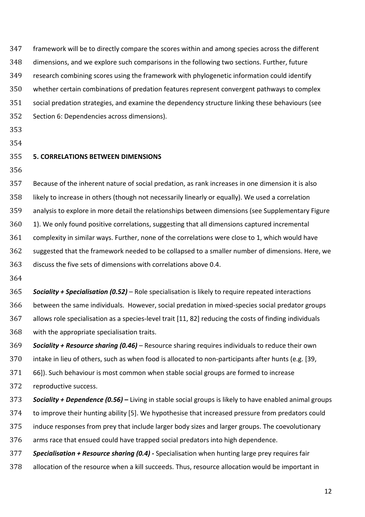framework will be to directly compare the scores within and among species across the different dimensions, and we explore such comparisons in the following two sections. Further, future research combining scores using the framework with phylogenetic information could identify whether certain combinations of predation features represent convergent pathways to complex social predation strategies, and examine the dependency structure linking these behaviours (see Section 6: Dependencies across dimensions).

- 
- 

# **5. CORRELATIONS BETWEEN DIMENSIONS**

 Because of the inherent nature of social predation, as rank increases in one dimension it is also likely to increase in others (though not necessarily linearly or equally). We used a correlation analysis to explore in more detail the relationships between dimensions (see Supplementary Figure 1). We only found positive correlations, suggesting that all dimensions captured incremental complexity in similar ways. Further, none of the correlations were close to 1, which would have suggested that the framework needed to be collapsed to a smaller number of dimensions. Here, we discuss the five sets of dimensions with correlations above 0.4.

 *Sociality + Specialisation (0.52) –* Role specialisation is likely to require repeated interactions between the same individuals. However, social predation in mixed-species social predator groups allows role specialisation as a species-level trait [11, 82] reducing the costs of finding individuals with the appropriate specialisation traits.

 *Sociality + Resource sharing (0.46) –* Resource sharing requires individuals to reduce their own intake in lieu of others, such as when food is allocated to non-participants after hunts (e.g. [39,

66]). Such behaviour is most common when stable social groups are formed to increase

reproductive success.

 *Sociality + Dependence (0.56) –* Living in stable social groups is likely to have enabled animal groups to improve their hunting ability [5]. We hypothesise that increased pressure from predators could induce responses from prey that include larger body sizes and larger groups. The coevolutionary arms race that ensued could have trapped social predators into high dependence. *Specialisation + Resource sharing (0.4) -* Specialisation when hunting large prey requires fair

allocation of the resource when a kill succeeds. Thus, resource allocation would be important in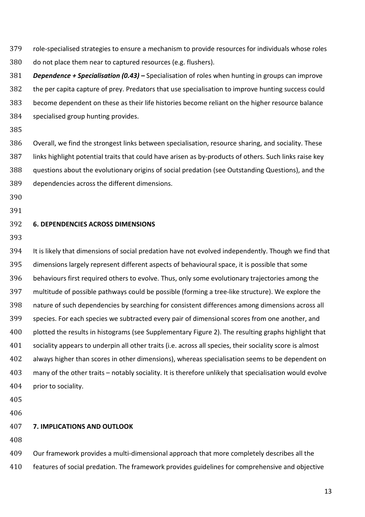- role-specialised strategies to ensure a mechanism to provide resources for individuals whose roles do not place them near to captured resources (e.g. flushers).
- *Dependence + Specialisation (0.43) –* Specialisation of roles when hunting in groups can improve the per capita capture of prey. Predators that use specialisation to improve hunting success could become dependent on these as their life histories become reliant on the higher resource balance specialised group hunting provides.
- 

 Overall, we find the strongest links between specialisation, resource sharing, and sociality. These links highlight potential traits that could have arisen as by-products of others. Such links raise key questions about the evolutionary origins of social predation (see Outstanding Questions), and the dependencies across the different dimensions.

- 
- 

#### **6. DEPENDENCIES ACROSS DIMENSIONS**

 It is likely that dimensions of social predation have not evolved independently. Though we find that dimensions largely represent different aspects of behavioural space, it is possible that some behaviours first required others to evolve. Thus, only some evolutionary trajectories among the multitude of possible pathways could be possible (forming a tree-like structure). We explore the nature of such dependencies by searching for consistent differences among dimensions across all species. For each species we subtracted every pair of dimensional scores from one another, and plotted the results in histograms (see Supplementary Figure 2). The resulting graphs highlight that sociality appears to underpin all other traits (i.e. across all species, their sociality score is almost always higher than scores in other dimensions), whereas specialisation seems to be dependent on many of the other traits – notably sociality. It is therefore unlikely that specialisation would evolve prior to sociality.

#### **7. IMPLICATIONS AND OUTLOOK**

Our framework provides a multi-dimensional approach that more completely describes all the

features of social predation. The framework provides guidelines for comprehensive and objective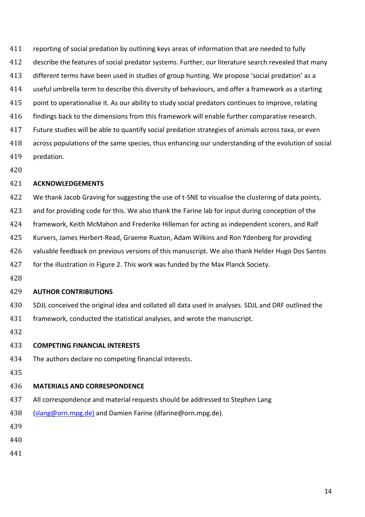reporting of social predation by outlining keys areas of information that are needed to fully describe the features of social predator systems. Further, our literature search revealed that many different terms have been used in studies of group hunting. We propose 'social predation' as a useful umbrella term to describe this diversity of behaviours, and offer a framework as a starting point to operationalise it. As our ability to study social predators continues to improve, relating 416 findings back to the dimensions from this framework will enable further comparative research. Future studies will be able to quantify social predation strategies of animals across taxa, or even across populations of the same species, thus enhancing our understanding of the evolution of social predation.

#### **ACKNOWLEDGEMENTS**

 We thank Jacob Graving for suggesting the use of t-SNE to visualise the clustering of data points, and for providing code for this. We also thank the Farine lab for input during conception of the framework, Keith McMahon and Frederike Hilleman for acting as independent scorers, and Ralf Kurvers, James Herbert-Read, Graeme Ruxton, Adam Wilkins and Ron Ydenberg for providing valuable feedback on previous versions of this manuscript. We also thank Helder Hugo Dos Santos for the illustration in Figure 2. This work was funded by the Max Planck Society.

#### **AUTHOR CONTRIBUTIONS**

- SDJL conceived the original idea and collated all data used in analyses. SDJL and DRF outlined the framework, conducted the statistical analyses, and wrote the manuscript.
- 

#### **COMPETING FINANCIAL INTERESTS**

- The authors declare no competing financial interests.
- 

#### **MATERIALS AND CORRESPONDENCE**

- 437 All correspondence and material requests should be addressed to Stephen Lang
- [\(slang@orn.mpg.de\)](mailto:slang@orn.mpg.de)) and Damien Farine (dfarine@orn.mpg.de).
- 
- 
-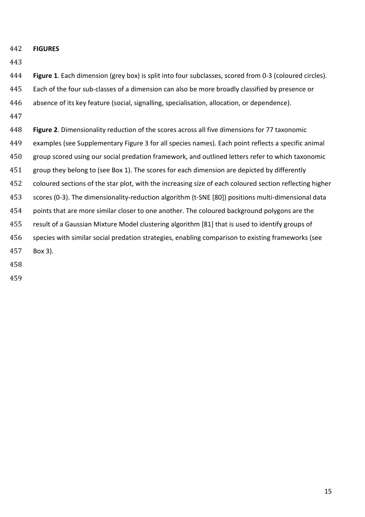**FIGURES**

- **Figure 1**. Each dimension (grey box) is split into four subclasses, scored from 0-3 (coloured circles).
- Each of the four sub-classes of a dimension can also be more broadly classified by presence or
- absence of its key feature (social, signalling, specialisation, allocation, or dependence).
- 
- **Figure 2**. Dimensionality reduction of the scores across all five dimensions for 77 taxonomic examples (see Supplementary Figure 3 for all species names). Each point reflects a specific animal group scored using our social predation framework, and outlined letters refer to which taxonomic group they belong to (see Box 1). The scores for each dimension are depicted by differently coloured sections of the star plot, with the increasing size of each coloured section reflecting higher scores (0-3). The dimensionality-reduction algorithm (t-SNE [80]) positions multi-dimensional data points that are more similar closer to one another. The coloured background polygons are the result of a Gaussian Mixture Model clustering algorithm [81] that is used to identify groups of species with similar social predation strategies, enabling comparison to existing frameworks (see Box 3).
- 
-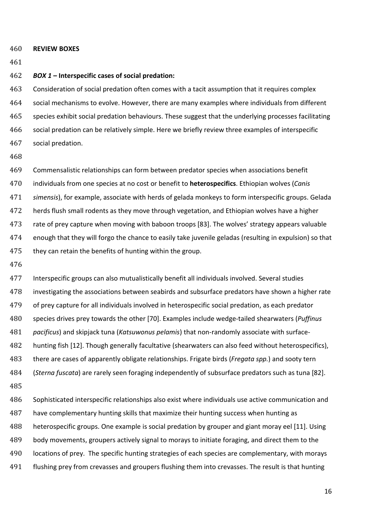- **REVIEW BOXES**
- 

#### *BOX 1* **– Interspecific cases of social predation:**

 Consideration of social predation often comes with a tacit assumption that it requires complex social mechanisms to evolve. However, there are many examples where individuals from different species exhibit social predation behaviours. These suggest that the underlying processes facilitating social predation can be relatively simple. Here we briefly review three examples of interspecific social predation.

 Commensalistic relationships can form between predator species when associations benefit individuals from one species at no cost or benefit to **heterospecifics**. Ethiopian wolves (*Canis simensis*), for example, associate with herds of gelada monkeys to form interspecific groups. Gelada herds flush small rodents as they move through vegetation, and Ethiopian wolves have a higher rate of prey capture when moving with baboon troops [83]. The wolves' strategy appears valuable enough that they will forgo the chance to easily take juvenile geladas (resulting in expulsion) so that 475 they can retain the benefits of hunting within the group.

 Interspecific groups can also mutualistically benefit all individuals involved. Several studies investigating the associations between seabirds and subsurface predators have shown a higher rate of prey capture for all individuals involved in heterospecific social predation, as each predator species drives prey towards the other [70]. Examples include wedge-tailed shearwaters (*Puffinus pacificus*) and skipjack tuna (*Katsuwonus pelamis*) that non-randomly associate with surface- hunting fish [12]. Though generally facultative (shearwaters can also feed without heterospecifics), there are cases of apparently obligate relationships. Frigate birds (*Fregata spp.*) and sooty tern (*Sterna fuscata*) are rarely seen foraging independently of subsurface predators such as tuna [82].

 Sophisticated interspecific relationships also exist where individuals use active communication and have complementary hunting skills that maximize their hunting success when hunting as heterospecific groups. One example is social predation by grouper and giant moray eel [11]. Using body movements, groupers actively signal to morays to initiate foraging, and direct them to the locations of prey. The specific hunting strategies of each species are complementary, with morays flushing prey from crevasses and groupers flushing them into crevasses. The result is that hunting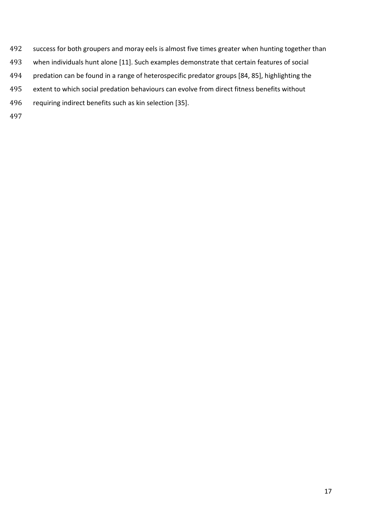- success for both groupers and moray eels is almost five times greater when hunting together than
- when individuals hunt alone [11]. Such examples demonstrate that certain features of social
- predation can be found in a range of heterospecific predator groups [84, 85], highlighting the
- extent to which social predation behaviours can evolve from direct fitness benefits without
- requiring indirect benefits such as kin selection [35].
-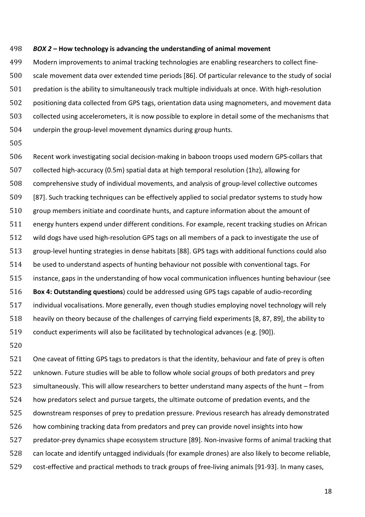#### *BOX 2 –* **How technology is advancing the understanding of animal movement**

 Modern improvements to animal tracking technologies are enabling researchers to collect fine- scale movement data over extended time periods [86]. Of particular relevance to the study of social predation is the ability to simultaneously track multiple individuals at once. With high-resolution positioning data collected from GPS tags, orientation data using magnometers, and movement data collected using accelerometers, it is now possible to explore in detail some of the mechanisms that underpin the group-level movement dynamics during group hunts.

 Recent work investigating social decision-making in baboon troops used modern GPS-collars that collected high-accuracy (0.5m) spatial data at high temporal resolution (1hz), allowing for comprehensive study of individual movements, and analysis of group-level collective outcomes [87]. Such tracking techniques can be effectively applied to social predator systems to study how group members initiate and coordinate hunts, and capture information about the amount of energy hunters expend under different conditions. For example, recent tracking studies on African wild dogs have used high-resolution GPS tags on all members of a pack to investigate the use of group-level hunting strategies in dense habitats [88]. GPS tags with additional functions could also be used to understand aspects of hunting behaviour not possible with conventional tags. For instance, gaps in the understanding of how vocal communication influences hunting behaviour (see **Box 4: Outstanding questions**) could be addressed using GPS tags capable of audio-recording individual vocalisations. More generally, even though studies employing novel technology will rely heavily on theory because of the challenges of carrying field experiments [8, 87, 89], the ability to conduct experiments will also be facilitated by technological advances (e.g. [90]).

 One caveat of fitting GPS tags to predators is that the identity, behaviour and fate of prey is often unknown. Future studies will be able to follow whole social groups of both predators and prey simultaneously. This will allow researchers to better understand many aspects of the hunt – from how predators select and pursue targets, the ultimate outcome of predation events, and the downstream responses of prey to predation pressure. Previous research has already demonstrated how combining tracking data from predators and prey can provide novel insights into how predator-prey dynamics shape ecosystem structure [89]. Non-invasive forms of animal tracking that can locate and identify untagged individuals (for example drones) are also likely to become reliable, cost-effective and practical methods to track groups of free-living animals [91-93]. In many cases,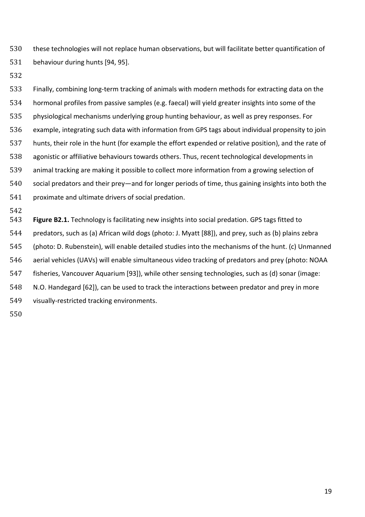these technologies will not replace human observations, but will facilitate better quantification of behaviour during hunts [94, 95].

 Finally, combining long-term tracking of animals with modern methods for extracting data on the hormonal profiles from passive samples (e.g. faecal) will yield greater insights into some of the physiological mechanisms underlying group hunting behaviour, as well as prey responses. For example, integrating such data with information from GPS tags about individual propensity to join hunts, their role in the hunt (for example the effort expended or relative position), and the rate of agonistic or affiliative behaviours towards others. Thus, recent technological developments in animal tracking are making it possible to collect more information from a growing selection of social predators and their prey—and for longer periods of time, thus gaining insights into both the proximate and ultimate drivers of social predation.

542<br>543 Figure B2.1. Technology is facilitating new insights into social predation. GPS tags fitted to predators, such as (a) African wild dogs (photo: J. Myatt [88]), and prey, such as (b) plains zebra (photo: D. Rubenstein), will enable detailed studies into the mechanisms of the hunt. (c) Unmanned aerial vehicles (UAVs) will enable simultaneous video tracking of predators and prey (photo: NOAA fisheries, Vancouver Aquarium [93]), while other sensing technologies, such as (d) sonar (image: N.O. Handegard [62]), can be used to track the interactions between predator and prey in more visually-restricted tracking environments.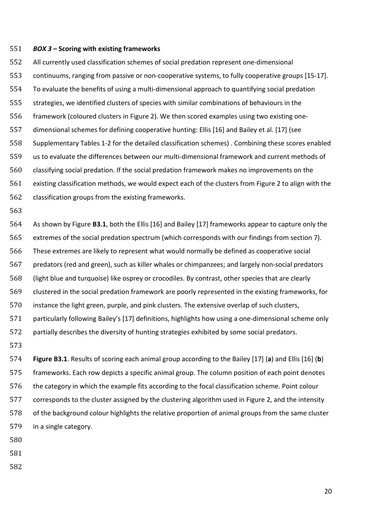#### *BOX 3* **– Scoring with existing frameworks**

 All currently used classification schemes of social predation represent one-dimensional continuums, ranging from passive or non-cooperative systems, to fully cooperative groups [15-17]. To evaluate the benefits of using a multi-dimensional approach to quantifying social predation strategies, we identified clusters of species with similar combinations of behaviours in the framework (coloured clusters in Figure 2). We then scored examples using two existing one- dimensional schemes for defining cooperative hunting: Ellis [16] and Bailey et al. [17] (see Supplementary Tables 1-2 for the detailed classification schemes) . Combining these scores enabled us to evaluate the differences between our multi-dimensional framework and current methods of classifying social predation. If the social predation framework makes no improvements on the existing classification methods, we would expect each of the clusters from Figure 2 to align with the classification groups from the existing frameworks.

 As shown by Figure **B3.1**, both the Ellis [16] and Bailey [17] frameworks appear to capture only the extremes of the social predation spectrum (which corresponds with our findings from section 7). These extremes are likely to represent what would normally be defined as cooperative social predators (red and green), such as killer whales or chimpanzees; and largely non-social predators (light blue and turquoise) like osprey or crocodiles. By contrast, other species that are clearly clustered in the social predation framework are poorly represented in the existing frameworks, for instance the light green, purple, and pink clusters. The extensive overlap of such clusters, particularly following Bailey's [17] definitions, highlights how using a one-dimensional scheme only partially describes the diversity of hunting strategies exhibited by some social predators. 

 **Figure B3.1**. Results of scoring each animal group according to the Bailey [17] (**a**) and Ellis [16] (**b**) frameworks. Each row depicts a specific animal group. The column position of each point denotes the category in which the example fits according to the focal classification scheme. Point colour corresponds to the cluster assigned by the clustering algorithm used in Figure 2, and the intensity of the background colour highlights the relative proportion of animal groups from the same cluster in a single category.

- 
- 
-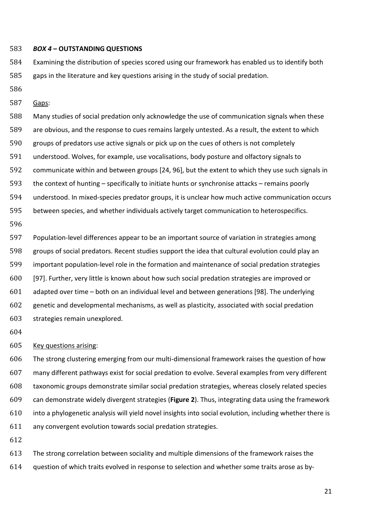#### *BOX 4* **– OUTSTANDING QUESTIONS**

 Examining the distribution of species scored using our framework has enabled us to identify both gaps in the literature and key questions arising in the study of social predation.

- 
- Gaps:

 Many studies of social predation only acknowledge the use of communication signals when these are obvious, and the response to cues remains largely untested. As a result, the extent to which groups of predators use active signals or pick up on the cues of others is not completely understood. Wolves, for example, use vocalisations, body posture and olfactory signals to communicate within and between groups [24, 96], but the extent to which they use such signals in the context of hunting – specifically to initiate hunts or synchronise attacks – remains poorly understood. In mixed-species predator groups, it is unclear how much active communication occurs between species, and whether individuals actively target communication to heterospecifics.

 Population-level differences appear to be an important source of variation in strategies among groups of social predators. Recent studies support the idea that cultural evolution could play an important population-level role in the formation and maintenance of social predation strategies [97]. Further, very little is known about how such social predation strategies are improved or adapted over time – both on an individual level and between generations [98]. The underlying genetic and developmental mechanisms, as well as plasticity, associated with social predation strategies remain unexplored.

#### Key questions arising:

 The strong clustering emerging from our multi-dimensional framework raises the question of how many different pathways exist for social predation to evolve. Several examples from very different taxonomic groups demonstrate similar social predation strategies, whereas closely related species can demonstrate widely divergent strategies (**Figure 2**). Thus, integrating data using the framework into a phylogenetic analysis will yield novel insights into social evolution, including whether there is any convergent evolution towards social predation strategies.

 The strong correlation between sociality and multiple dimensions of the framework raises the question of which traits evolved in response to selection and whether some traits arose as by-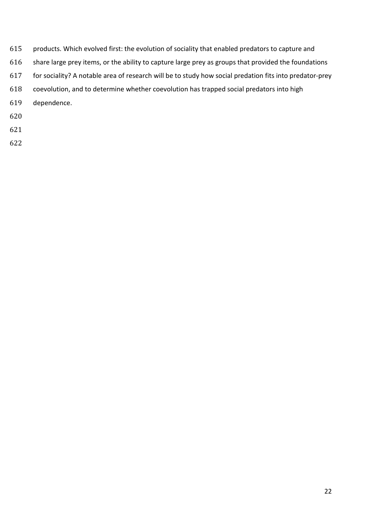- products. Which evolved first: the evolution of sociality that enabled predators to capture and
- 616 share large prey items, or the ability to capture large prey as groups that provided the foundations
- for sociality? A notable area of research will be to study how social predation fits into predator-prey
- coevolution, and to determine whether coevolution has trapped social predators into high
- dependence.
- 
- 
-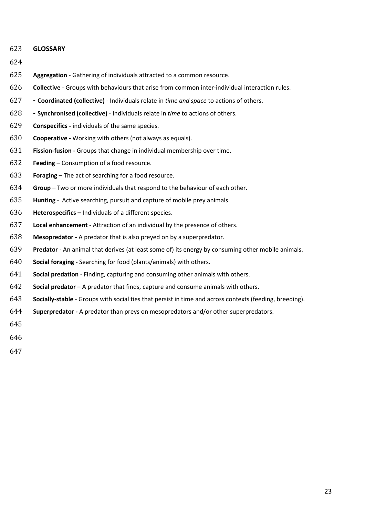#### **GLOSSARY**

- **Aggregation** Gathering of individuals attracted to a common resource.
- **Collective**  Groups with behaviours that arise from common inter-individual interaction rules.
- **- Coordinated (collective)**  Individuals relate in *time and space* to actions of others.
- **- Synchronised (collective)** Individuals relate in *time* to actions of others.
- **Conspecifics -** individuals of the same species.
- **Cooperative -** Working with others (not always as equals).
- **Fission-fusion -** Groups that change in individual membership over time.
- **Feeding**  Consumption of a food resource.
- **Foraging** The act of searching for a food resource.
- **Group** Two or more individuals that respond to the behaviour of each other.
- **Hunting**  Active searching, pursuit and capture of mobile prey animals.
- **Heterospecifics –** Individuals of a different species.
- **Local enhancement** Attraction of an individual by the presence of others.
- **Mesopredator -** A predator that is also preyed on by a superpredator.
- **Predator**  An animal that derives (at least some of) its energy by consuming other mobile animals.
- **Social foraging**  Searching for food (plants/animals) with others.
- **Social predation**  Finding, capturing and consuming other animals with others.
- **Social predator** A predator that finds, capture and consume animals with others.
- **Socially-stable**  Groups with social ties that persist in time and across contexts (feeding, breeding).
- **Superpredator -** A predator than preys on mesopredators and/or other superpredators.
- 
- 
-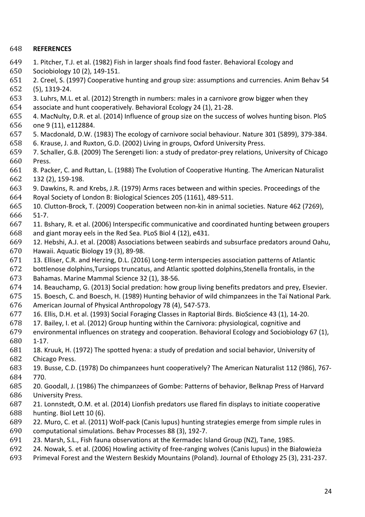#### **REFERENCES**

- 649 1. Pitcher, T.J. et al. (1982) Fish in larger shoals find food faster. Behavioral Ecology and 650 Sociobiology 10 (2), 149-151.
- Sociobiology 10 (2), 149-151.
- 2. Creel, S. (1997) Cooperative hunting and group size: assumptions and currencies. Anim Behav 54 (5), 1319-24.
- 653 3. Luhrs, M.L. et al. (2012) Strength in numbers: males in a carnivore grow bigger when they<br>654 associate and hunt cooperatively. Behavioral Ecology 24 (1), 21-28.
- associate and hunt cooperatively. Behavioral Ecology 24 (1), 21-28.
- 4. MacNulty, D.R. et al. (2014) Influence of group size on the success of wolves hunting bison. PloS one 9 (11), e112884.
- 657 5. Macdonald, D.W. (1983) The ecology of carnivore social behaviour. Nature 301 (5899), 379-384.<br>658 6. Krause, J. and Ruxton, G.D. (2002) Living in groups, Oxford University Press.
- 658 6. Krause, J. and Ruxton, G.D. (2002) Living in groups, Oxford University Press.<br>659 7. Schaller. G.B. (2009) The Serengeti lion: a study of predator-prev relations. I
- 7. Schaller, G.B. (2009) The Serengeti lion: a study of predator-prey relations, University of Chicago 660 Press.<br>661 8. Pac
- 8. Packer, C. and Ruttan, L. (1988) The Evolution of Cooperative Hunting. The American Naturalist
- 132 (2), 159-198. 663 9. Dawkins, R. and Krebs, J.R. (1979) Arms races between and within species. Proceedings of the 664 Royal Society of London B: Biological Sciences 205 (1161), 489-511.
- Royal Society of London B: Biological Sciences 205 (1161), 489-511. 10. Clutton-Brock, T. (2009) Cooperation between non-kin in animal societies. Nature 462 (7269),
- 666 51-7.<br>667 11. Bs 667 11. Bshary, R. et al. (2006) Interspecific communicative and coordinated hunting between groupers 668 and giant moray eels in the Red Sea. PLoS Biol 4 (12), e431. and giant moray eels in the Red Sea. PLoS Biol 4 (12), e431.
- 669 12. Hebshi, A.J. et al. (2008) Associations between seabirds and subsurface predators around Oahu,<br>670 Hawaii. Aquatic Biology 19 (3), 89-98. Hawaii. Aquatic Biology 19 (3), 89-98.
- 13. Elliser, C.R. and Herzing, D.L. (2016) Long-term interspecies association patterns of Atlantic
- bottlenose dolphins,Tursiops truncatus, and Atlantic spotted dolphins,Stenella frontalis, in the 673 Bahamas. Marine Mammal Science 32 (1), 38-56.<br>674 14. Beauchamp, G. (2013) Social predation: how  $\epsilon$
- 674 14. Beauchamp, G. (2013) Social predation: how group living benefits predators and prey, Elsevier.<br>675 15. Boesch, C. and Boesch, H. (1989) Hunting behavior of wild chimpanzees in the Taï National Park
- 675 15. Boesch, C. and Boesch, H. (1989) Hunting behavior of wild chimpanzees in the Taï National Park.<br>676 American Journal of Physical Anthropology 78 (4), 547-573.
- American Journal of Physical Anthropology 78 (4), 547-573. 16. Ellis, D.H. et al. (1993) Social Foraging Classes in Raptorial Birds. BioScience 43 (1), 14-20.
- 678 17. Bailey, I. et al. (2012) Group hunting within the Carnivora: physiological, cognitive and<br>679 environmental influences on strategy and cooperation. Behavioral Ecology and Sociobiolog
- environmental influences on strategy and cooperation. Behavioral Ecology and Sociobiology 67 (1), 1-17.
- 681 18. Kruuk, H. (1972) The spotted hyena: a study of predation and social behavior, University of 682 Chicago Press.
- 682 Chicago Press.<br>683 19. Busse, C.D. 19. Busse, C.D. (1978) Do chimpanzees hunt cooperatively? The American Naturalist 112 (986), 767- 770.
- 20. Goodall, J. (1986) The chimpanzees of Gombe: Patterns of behavior, Belknap Press of Harvard
- 686 University Press.<br>687 21. Lonnstedt, O. 21. Lonnstedt, O.M. et al. (2014) Lionfish predators use flared fin displays to initiate cooperative hunting. Biol Lett 10 (6).
- 22. Muro, C. et al. (2011) Wolf-pack (Canis lupus) hunting strategies emerge from simple rules in
- computational simulations. Behav Processes 88 (3), 192-7. 691 23. Marsh, S.L., Fish fauna observations at the Kermadec Island Group (NZ), Tane, 1985.<br>692 24. Nowak, S. et al. (2006) Howling activity of free-ranging wolves (Canis lupus) in the Bi
- 24. Nowak, S. et al. (2006) Howling activity of free-ranging wolves (Canis lupus) in the Białowieża
- Primeval Forest and the Western Beskidy Mountains (Poland). Journal of Ethology 25 (3), 231-237.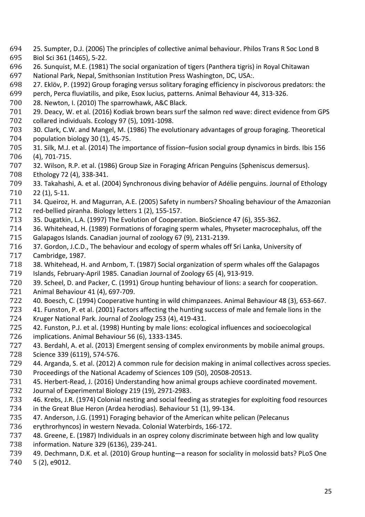- 694 25. Sumpter, D.J. (2006) The principles of collective animal behaviour. Philos Trans R Soc Lond B
- 695 Biol Sci 361 (1465), 5-22.
- 696 26. Sunquist, M.E. (1981) The social organization of tigers (Panthera tigris) in Royal Chitawan
- 697 National Park, Nepal, Smithsonian Institution Press Washington, DC, USA:.<br>698 27. Eklöv, P. (1992) Group foraging versus solitary foraging efficiency in pis 698 27. Eklöv, P. (1992) Group foraging versus solitary foraging efficiency in piscivorous predators: the 699 perch, Perca fluviatilis, and pike, Esox lucius, patterns. Animal Behaviour 44, 313-326.
- 699 perch, Perca fluviatilis, and pike, Esox lucius, patterns. Animal Behaviour 44, 313-326.<br>700 28. Newton, I. (2010) The sparrowhawk, A&C Black.
- 700 28. Newton, I. (2010) The sparrowhawk, A&C Black.
- 701 29. Deacy, W. et al. (2016) Kodiak brown bears surf the salmon red wave: direct evidence from GPS<br>702 collared individuals. Ecology 97 (5), 1091-1098.
- 702 collared individuals. Ecology 97 (5), 1091-1098. 703 30. Clark, C.W. and Mangel, M. (1986) The evolutionary advantages of group foraging. Theoretical<br>704 population biology 30 (1), 45-75.
- 704 population biology 30 (1), 45-75.<br>705 31. Silk, M.J. et al. (2014) The imp 705 31. Silk, M.J. et al. (2014) The importance of fission–fusion social group dynamics in birds. Ibis 156<br>706 (4), 701-715.
- 706 (4), 701-715. 707 32. Wilson, R.P. et al. (1986) Group Size in Foraging African Penguins (Spheniscus demersus).<br>708 Ethology 72 (4), 338-341.
- 708 Ethology 72 (4), 338-341.
- 709 33. Takahashi, A. et al. (2004) Synchronous diving behavior of Adélie penguins. Journal of Ethology 710 22 (1), 5-11.
- 711 34. Queiroz, H. and Magurran, A.E. (2005) Safety in numbers? Shoaling behaviour of the Amazonian<br>712 red-bellied piranha. Biology letters 1 (2), 155-157. 712 red-bellied piranha. Biology letters 1 (2), 155-157.<br>713 35. Dugatkin, L.A. (1997) The Evolution of Coopera
- 713 35. Dugatkin, L.A. (1997) The Evolution of Cooperation. BioScience 47 (6), 355-362.<br>714 36. Whitehead, H. (1989) Formations of foraging sperm whales, Physeter macrocep
- 714 36. Whitehead, H. (1989) Formations of foraging sperm whales, Physeter macrocephalus, off the<br>715 Galapagos Islands. Canadian journal of zoology 67 (9), 2131-2139.
- 715 Galapagos Islands. Canadian journal of zoology 67 (9), 2131-2139.<br>716 37. Gordon, J.C.D., The behaviour and ecology of sperm whales of
- 716 37. Gordon, J.C.D., The behaviour and ecology of sperm whales off Sri Lanka, University of 717 Cambridge, 1987.
- 717 Cambridge, 1987. 718 38. Whitehead, H. and Arnbom, T. (1987) Social organization of sperm whales off the Galapagos<br>719 Islands, February-April 1985. Canadian Journal of Zoology 65 (4), 913-919.
- 719 Islands, February-April 1985. Canadian Journal of Zoology 65 (4), 913-919.<br>720 39. Scheel, D. and Packer, C. (1991) Group hunting behaviour of lions: a sea
- 720 39. Scheel, D. and Packer, C. (1991) Group hunting behaviour of lions: a search for cooperation.<br>721 Animal Behaviour 41 (4), 697-709.
- 721 Animal Behaviour 41 (4), 697-709.
- 722 40. Boesch, C. (1994) Cooperative hunting in wild chimpanzees. Animal Behaviour 48 (3), 653-667.<br>723 41. Funston, P. et al. (2001) Factors affecting the hunting success of male and female lions in the
- 723 41. Funston, P. et al. (2001) Factors affecting the hunting success of male and female lions in the 724 Kruger National Park. Journal of Zoology 253 (4), 419-431. 724 Kruger National Park. Journal of Zoology 253 (4), 419-431.
- 725 42. Funston, P.J. et al. (1998) Hunting by male lions: ecological influences and socioecological<br>726 implications. Animal Behaviour 56 (6), 1333-1345.
- 726 implications. Animal Behaviour 56 (6), 1333-1345.<br>727 43. Berdahl, A. et al. (2013) Emergent sensing of co 727 43. Berdahl, A. et al. (2013) Emergent sensing of complex environments by mobile animal groups.<br>728 Science 339 (6119), 574-576.
- 728 Science 339 (6119), 574-576.<br>729 44. Arganda, S. et al. (2012) A
- 729 44. Arganda, S. et al. (2012) A common rule for decision making in animal collectives across species.<br>730 Proceedings of the National Academy of Sciences 109 (50), 20508-20513.
- 730 Proceedings of the National Academy of Sciences 109 (50), 20508-20513.<br>731 45. Herbert-Read, J. (2016) Understanding how animal groups achieve coor
- 731 45. Herbert-Read, J. (2016) Understanding how animal groups achieve coordinated movement.<br>732 Journal of Experimental Biology 219 (19), 2971-2983.
- 732 Journal of Experimental Biology 219 (19), 2971-2983.
- 733 46. Krebs, J.R. (1974) Colonial nesting and social feeding as strategies for exploiting food resources 734 in the Great Blue Heron (Ardea herodias). Behaviour 51 (1), 99-134.
- 734 in the Great Blue Heron (Ardea herodias). Behaviour 51 (1), 99-134.<br>735 47. Anderson, J.G. (1991) Foraging behavior of the American white p 735 47. Anderson, J.G. (1991) Foraging behavior of the American white pelican (Pelecanus<br>736 erythrorhyncos) in western Nevada. Colonial Waterbirds, 166-172.
- 736 erythrorhyncos) in western Nevada. Colonial Waterbirds, 166-172.<br>737 48. Greene, E. (1987) Individuals in an osprey colony discriminate b
- 737 48. Greene, E. (1987) Individuals in an osprey colony discriminate between high and low quality<br>738 information. Nature 329 (6136), 239-241.
- 738 information. Nature 329 (6136), 239-241. 739 49. Dechmann, D.K. et al. (2010) Group hunting—a reason for sociality in molossid bats? PLoS One<br>740 5 (2), e9012.
- 5 (2), e9012.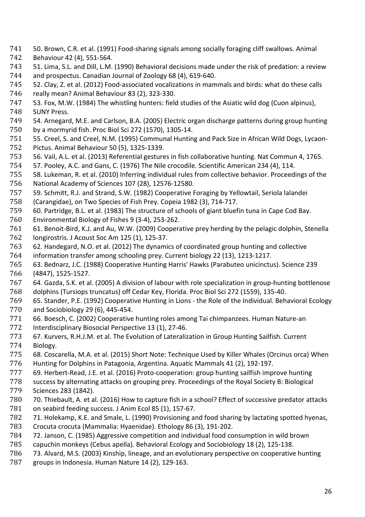- 741 50. Brown, C.R. et al. (1991) Food-sharing signals among socially foraging cliff swallows. Animal<br>742 Behaviour 42 (4). 551-564.
- 742 Behaviour 42 (4), 551-564.
- 743 51. Lima, S.L. and Dill, L.M. (1990) Behavioral decisions made under the risk of predation: a review<br>744 and prospectus. Canadian Journal of Zoology 68 (4), 619-640. 744 and prospectus. Canadian Journal of Zoology 68 (4), 619-640.<br>745 52. Clay, Z. et al. (2012) Food-associated vocalizations in mam
- 745 52. Clay, Z. et al. (2012) Food-associated vocalizations in mammals and birds: what do these calls 746 really mean? Animal Behaviour 83 (2), 323-330.
- 746 really mean? Animal Behaviour 83 (2), 323-330.<br>747 53. Fox, M.W. (1984) The whistling hunters: field
- 747 53. Fox, M.W. (1984) The whistling hunters: field studies of the Asiatic wild dog (Cuon alpinus),
- 748 SUNY Press.<br>749 54. Arnegard 749 54. Arnegard, M.E. and Carlson, B.A. (2005) Electric organ discharge patterns during group hunting<br>750 by a mormyrid fish. Proc Biol Sci 272 (1570), 1305-14. 750 by a mormyrid fish. Proc Biol Sci 272 (1570), 1305-14.
- 751 55. Creel, S. and Creel, N.M. (1995) Communal Hunting and Pack Size in African Wild Dogs, Lycaon-<br>752 Pictus. Animal Behaviour 50 (5), 1325-1339. 752 Pictus. Animal Behaviour 50 (5), 1325-1339.
- 753 56. Vail, A.L. et al. (2013) Referential gestures in fish collaborative hunting. Nat Commun 4, 1765.
- 754 57. Pooley, A.C. and Gans, C. (1976) The Nile crocodile. Scientific American 234 (4), 114.<br>755 58. Lukeman, R. et al. (2010) Inferring individual rules from collective behavior. Proceedi
- 755 58. Lukeman, R. et al. (2010) Inferring individual rules from collective behavior. Proceedings of the 756 National Academy of Sciences 107 (28), 12576-12580.
- 756 National Academy of Sciences 107 (28), 12576-12580. 757 59. Schmitt, R.J. and Strand, S.W. (1982) Cooperative Foraging by Yellowtail, Seriola lalandei<br>758 (Carangidae), on Two Species of Fish Prey. Copeia 1982 (3), 714-717.
- 
- 758 (Carangidae), on Two Species of Fish Prey. Copeia 1982 (3), 714-717. 759 60. Partridge, B.L. et al. (1983) The structure of schools of giant bluefin tuna in Cape Cod Bay.
- 760 Environmental Biology of Fishes 9 (3-4), 253-262.
- 761 61. Benoit-Bird, K.J. and Au, W.W. (2009) Cooperative prey herding by the pelagic dolphin, Stenella<br>762 Iongirostris. J Acoust Soc Am 125 (1), 125-37. 762 longirostris. J Acoust Soc Am 125 (1), 125-37.<br>763 62. Handegard, N.O. et al. (2012) The dynamic
- 763 62. Handegard, N.O. et al. (2012) The dynamics of coordinated group hunting and collective<br>764 information transfer among schooling prey. Current biology 22 (13), 1213-1217.
- 764 information transfer among schooling prey. Current biology 22 (13), 1213-1217.
- 765 63. Bednarz, J.C. (1988) Cooperative Hunting Harris' Hawks (Parabuteo unicinctus). Science 239
- 766 (4847), 1525-1527. 767 64. Gazda, S.K. et al. (2005) A division of labour with role specialization in group-hunting bottlenose<br>768 dolphins (Tursiops truncatus) off Cedar Key, Florida. Proc Biol Sci 272 (1559), 135-40.
- 768 dolphins (Tursiops truncatus) off Cedar Key, Florida. Proc Biol Sci 272 (1559), 135-40.<br>769 65. Stander, P.E. (1992) Cooperative Hunting in Lions the Role of the Individual. Beh 769 65. Stander, P.E. (1992) Cooperative Hunting in Lions - the Role of the Individual. Behavioral Ecology<br>770 and Sociobiology 29 (6), 445-454.
- 770 and Sociobiology 29 (6), 445-454.<br>771 66. Boesch, C. (2002) Cooperative 771 66. Boesch, C. (2002) Cooperative hunting roles among Tai chimpanzees. Human Nature-an<br>772 Interdisciplinary Biosocial Perspective 13 (1), 27-46.
- 772 Interdisciplinary Biosocial Perspective 13 (1), 27-46.<br>773 67. Kurvers, R.H.J.M. et al. The Evolution of Lateraliz
- 773 67. Kurvers, R.H.J.M. et al. The Evolution of Lateralization in Group Hunting Sailfish. Current 774 Biology. 774 Biology.
- 775 68. Coscarella, M.A. et al. (2015) Short Note: Technique Used by Killer Whales (Orcinus orca) When<br>776 Hunting for Dolphins in Patagonia, Argentina. Aquatic Mammals 41 (2), 192-197.
- 776 Hunting for Dolphins in Patagonia, Argentina. Aquatic Mammals 41 (2), 192-197.<br>777 69. Herbert-Read, J.E. et al. (2016) Proto-cooperation: group hunting sailfish impi
- 777 69. Herbert-Read, J.E. et al. (2016) Proto-cooperation: group hunting sailfish improve hunting<br>778 success by alternating attacks on grouping prey. Proceedings of the Royal Society B: Biological
- 778 success by alternating attacks on grouping prey. Proceedings of the Royal Society B: Biological 779 Sciences 283 (1842).
- 780 70. Thiebault, A. et al. (2016) How to capture fish in a school? Effect of successive predator attacks 781 on seabird feeding success. J Anim Ecol 85 (1), 157-67. 781 on seabird feeding success. J Anim Ecol 85 (1), 157-67.<br>782 71. Holekamp, K.E. and Smale, L. (1990) Provisioning ar
- 782 71. Holekamp, K.E. and Smale, L. (1990) Provisioning and food sharing by lactating spotted hyenas,<br>783 Crocuta crocuta (Mammalia: Hyaenidae). Ethology 86 (3), 191-202.
- 783 Crocuta crocuta (Mammalia: Hyaenidae). Ethology 86 (3), 191-202.<br>784 72. Janson, C. (1985) Aggressive competition and individual food co
- 784 72. Janson, C. (1985) Aggressive competition and individual food consumption in wild brown<br>785 capuchin monkeys (Cebus apella). Behavioral Ecology and Sociobiology 18 (2), 125-138.
- 785 capuchin monkeys (Cebus apella). Behavioral Ecology and Sociobiology 18 (2), 125-138.
- 786 73. Alvard, M.S. (2003) Kinship, lineage, and an evolutionary perspective on cooperative hunting<br>787 groups in Indonesia. Human Nature 14 (2), 129-163.
- groups in Indonesia. Human Nature 14 (2), 129-163.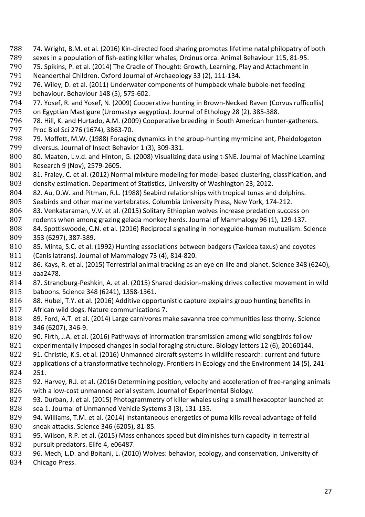- 788 74. Wright, B.M. et al. (2016) Kin-directed food sharing promotes lifetime natal philopatry of both 789 sexes in a population of fish-eating killer whales. Orcinus orca. Animal Behaviour 115. 81-95.
- 789 sexes in a population of fish-eating killer whales, Orcinus orca. Animal Behaviour 115, 81-95.
- 790 75. Spikins, P. et al. (2014) The Cradle of Thought: Growth, Learning, Play and Attachment in<br>791 Neanderthal Children. Oxford Journal of Archaeology 33 (2), 111-134.
- 791 Neanderthal Children. Oxford Journal of Archaeology 33 (2), 111-134.
- 792 76. Wiley, D. et al. (2011) Underwater components of humpback whale bubble-net feeding
- 793 behaviour. Behaviour 148 (5), 575-602.
- 794 77. Yosef, R. and Yosef, N. (2009) Cooperative hunting in Brown-Necked Raven (Corvus rufficollis)<br>795 on Egyptian Mastigure (Uromastyx aegyptius). Journal of Ethology 28 (2). 385-388.
- 795 on Egyptian Mastigure (Uromastyx aegyptius). Journal of Ethology 28 (2), 385-388.<br>796 78. Hill, K. and Hurtado, A.M. (2009) Cooperative breeding in South American hunt 796 78. Hill, K. and Hurtado, A.M. (2009) Cooperative breeding in South American hunter-gatherers.<br>797 Proc Biol Sci 276 (1674), 3863-70.
- 797 Proc Biol Sci 276 (1674), 3863-70. 798 79. Moffett, M.W. (1988) Foraging dynamics in the group-hunting myrmicine ant, Pheidologeton<br>799 diversus. Journal of Insect Behavior 1 (3), 309-331.
- 799 diversus. Journal of Insect Behavior 1 (3), 309-331.<br>800 80. Maaten, L.v.d. and Hinton, G. (2008) Visualizing 800 80. Maaten, L.v.d. and Hinton, G. (2008) Visualizing data using t-SNE. Journal of Machine Learning<br>801 Research 9 (Nov), 2579-2605. 801 Research 9 (Nov), 2579-2605.<br>802 81. Fraley, C. et al. (2012) Nor
- 802 81. Fraley, C. et al. (2012) Normal mixture modeling for model-based clustering, classification, and 803 density estimation. Department of Statistics, University of Washington 23, 2012.
- 803 density estimation. Department of Statistics, University of Washington 23, 2012.<br>804 82. Au. D.W. and Pitman. R.L. (1988) Seabird relationships with tropical tunas and 804 82. Au, D.W. and Pitman, R.L. (1988) Seabird relationships with tropical tunas and dolphins.<br>805 Seabirds and other marine vertebrates. Columbia University Press, New York, 174-212.
- 805 Seabirds and other marine vertebrates. Columbia University Press, New York, 174-212.<br>806 83. Venkataraman, V.V. et al. (2015) Solitary Ethiopian wolves increase predation succe
- 806 83. Venkataraman, V.V. et al. (2015) Solitary Ethiopian wolves increase predation success on<br>807 rodents when among grazing gelada monkey herds. Journal of Mammalogy 96 (1), 129-137.
- 807 rodents when among grazing gelada monkey herds. Journal of Mammalogy 96 (1), 129-137.<br>808 84. Spottiswoode, C.N. et al. (2016) Reciprocal signaling in honeyguide-human mutualism. So
- 808 84. Spottiswoode, C.N. et al. (2016) Reciprocal signaling in honeyguide-human mutualism. Science<br>809 353 (6297), 387-389. 809 353 (6297), 387-389.
- 810 85. Minta, S.C. et al. (1992) Hunting associations between badgers (Taxidea taxus) and coyotes 811 (Canis latrans). Journal of Mammalogy 73 (4), 814-820.
- 811 (Canis latrans). Journal of Mammalogy 73 (4), 814-820.<br>812 86. Kays, R. et al. (2015) Terrestrial animal tracking as a
- 812 86. Kays, R. et al. (2015) Terrestrial animal tracking as an eye on life and planet. Science 348 (6240), 813 aaa2478.
- 813 aaa2478. 814 87. Strandburg-Peshkin, A. et al. (2015) Shared decision-making drives collective movement in wild 815 baboons. Science 348 (6241), 1358-1361.<br>816 88. Hubel, T.Y. et al. (2016) Additive oppo
- 816 88. Hubel, T.Y. et al. (2016) Additive opportunistic capture explains group hunting benefits in 817 African wild dogs. Nature communications 7.
- 817 African wild dogs. Nature communications 7.<br>818 89. Ford, A.T. et al. (2014) Large carnivores m
- 818 89. Ford, A.T. et al. (2014) Large carnivores make savanna tree communities less thorny. Science<br>819 346 (6207). 346-9.
- 819 346 (6207), 346-9.<br>820 90. Firth, J.A. et al. 820 90. Firth, J.A. et al. (2016) Pathways of information transmission among wild songbirds follow<br>821 experimentally imposed changes in social foraging structure. Biology letters 12 (6), 20160144.
- 821 experimentally imposed changes in social foraging structure. Biology letters 12 (6), 20160144.<br>822 91. Christie, K.S. et al. (2016) Unmanned aircraft systems in wildlife research: current and futu
- 822 91. Christie, K.S. et al. (2016) Unmanned aircraft systems in wildlife research: current and future 823 applications of a transformative technology. Frontiers in Ecology and the Environment 14 (5), 24
- 823 applications of a transformative technology. Frontiers in Ecology and the Environment 14 (5), 241-<br>824 251. 824 251.<br>825 92. H
- 825 92. Harvey, R.J. et al. (2016) Determining position, velocity and acceleration of free-ranging animals 826 with a low-cost unmanned aerial system. Journal of Experimental Biology. 826 with a low-cost unmanned aerial system. Journal of Experimental Biology.<br>827 93. Durban, J. et al. (2015) Photogrammetry of killer whales using a small h
- 827 93. Durban, J. et al. (2015) Photogrammetry of killer whales using a small hexacopter launched at 828 sea 1. Journal of Unmanned Vehicle Systems 3 (3), 131-135. 828 sea 1. Journal of Unmanned Vehicle Systems 3 (3), 131-135.<br>829 94. Williams, T.M. et al. (2014) Instantaneous energetics of p
- 829 94. Williams, T.M. et al. (2014) Instantaneous energetics of puma kills reveal advantage of felid 830 sneak attacks. Science 346 (6205), 81-85. 830 sneak attacks. Science 346 (6205), 81-85.<br>831 95. Wilson, R.P. et al. (2015) Mass enhanc
- 831 95. Wilson, R.P. et al. (2015) Mass enhances speed but diminishes turn capacity in terrestrial<br>832 pursuit predators. Elife 4, e06487.
- 832 pursuit predators. Elife 4, e06487.<br>833 96. Mech, L.D. and Boitani, L. (201
- 833 96. Mech, L.D. and Boitani, L. (2010) Wolves: behavior, ecology, and conservation, University of 834 Chicago Press.
- Chicago Press.